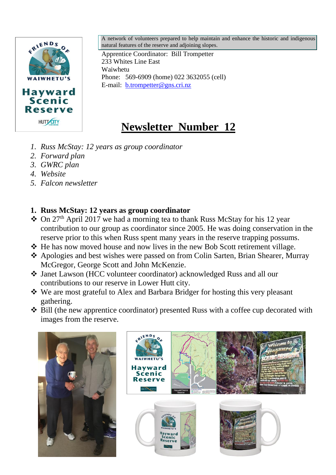

A network of volunteers prepared to help maintain and enhance the historic and indigenous natural features of the reserve and adjoining slopes.

Apprentice Coordinator: Bill Trompetter 233 Whites Line East Waiwhetu Phone: 569-6909 (home) 022 3632055 (cell) E-mail: [b.trompetter@gns.cri.nz](mailto:b.trompetter@gns.cri.nz)

# **Newsletter Number 12**

- *1. Russ McStay: 12 years as group coordinator*
- *2. Forward plan*
- *3. GWRC plan*
- *4. Website*
- *5. Falcon newsletter*

# **1. Russ McStay: 12 years as group coordinator**

- ❖ On 27th April 2017 we had a morning tea to thank Russ McStay for his 12 year contribution to our group as coordinator since 2005. He was doing conservation in the reserve prior to this when Russ spent many years in the reserve trapping possums.
- ❖ He has now moved house and now lives in the new Bob Scott retirement village.
- ❖ Apologies and best wishes were passed on from Colin Sarten, Brian Shearer, Murray McGregor, George Scott and John McKenzie.
- ❖ Janet Lawson (HCC volunteer coordinator) acknowledged Russ and all our contributions to our reserve in Lower Hutt city.
- ❖ We are most grateful to Alex and Barbara Bridger for hosting this very pleasant gathering.
- ❖ Bill (the new apprentice coordinator) presented Russ with a coffee cup decorated with images from the reserve.



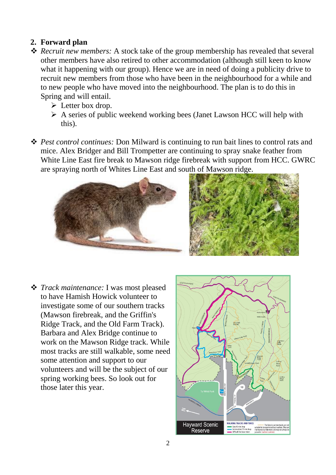#### **2. Forward plan**

- ❖ *Recruit new members:* A stock take of the group membership has revealed that several other members have also retired to other accommodation (although still keen to know what it happening with our group). Hence we are in need of doing a publicity drive to recruit new members from those who have been in the neighbourhood for a while and to new people who have moved into the neighbourhood. The plan is to do this in Spring and will entail.
	- $\triangleright$  Letter box drop.
	- ➢ A series of public weekend working bees (Janet Lawson HCC will help with this).
- ❖ *Pest control continues:* Don Milward is continuing to run bait lines to control rats and mice. Alex Bridger and Bill Trompetter are continuing to spray snake feather from White Line East fire break to Mawson ridge firebreak with support from HCC. GWRC are spraying north of Whites Line East and south of Mawson ridge.



❖ *Track maintenance:* I was most pleased to have Hamish Howick volunteer to investigate some of our southern tracks (Mawson firebreak, and the Griffin's Ridge Track, and the Old Farm Track). Barbara and Alex Bridge continue to work on the Mawson Ridge track. While most tracks are still walkable, some need some attention and support to our volunteers and will be the subject of our spring working bees. So look out for those later this year.